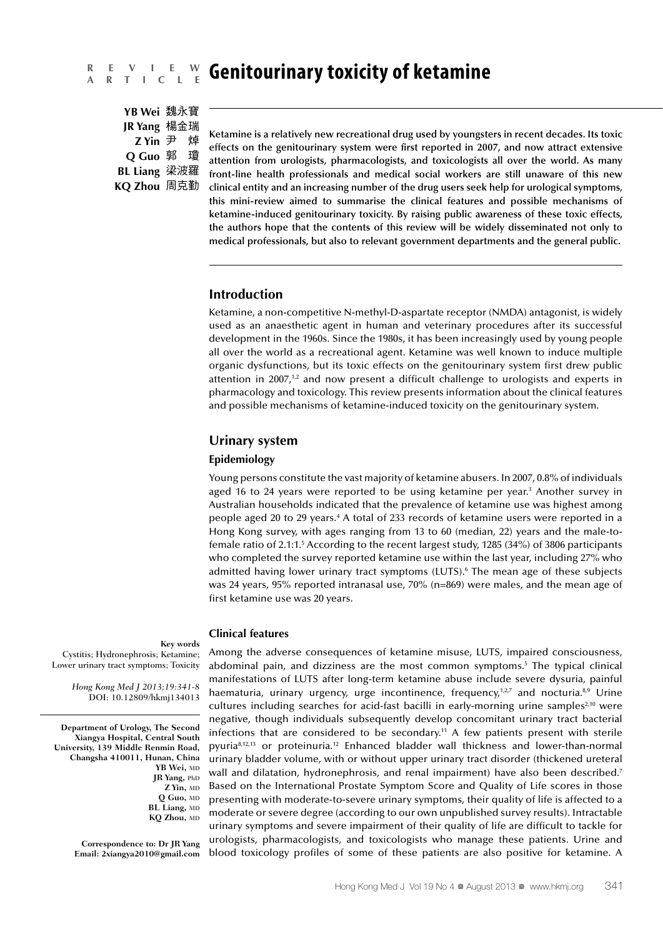### **Genitourinary toxicity of ketamine R E V I E W A R T I C L E**

**YB Wei** 魏永寶 **JR Yang** 楊金瑞 **Z Yin Q Guo** 郭 瓊 **BL Liang** 梁波羅 **KQ Zhou** 周克勤 尹 焯

**Ketamine is a relatively new recreational drug used by youngsters in recent decades. Its toxic effects on the genitourinary system were first reported in 2007, and now attract extensive attention from urologists, pharmacologists, and toxicologists all over the world. As many front-line health professionals and medical social workers are still unaware of this new clinical entity and an increasing number of the drug users seek help for urological symptoms, this mini-review aimed to summarise the clinical features and possible mechanisms of ketamine-induced genitourinary toxicity. By raising public awareness of these toxic effects, the authors hope that the contents of this review will be widely disseminated not only to medical professionals, but also to relevant government departments and the general public.**

## **Introduction**

Ketamine, a non-competitive N-methyl-D-aspartate receptor (NMDA) antagonist, is widely used as an anaesthetic agent in human and veterinary procedures after its successful development in the 1960s. Since the 1980s, it has been increasingly used by young people all over the world as a recreational agent. Ketamine was well known to induce multiple organic dysfunctions, but its toxic effects on the genitourinary system first drew public attention in  $2007<sup>1,2</sup>$  and now present a difficult challenge to urologists and experts in pharmacology and toxicology. This review presents information about the clinical features and possible mechanisms of ketamine-induced toxicity on the genitourinary system.

## **Urinary system**

## **Epidemiology**

Young persons constitute the vast majority of ketamine abusers. In 2007, 0.8% of individuals aged 16 to 24 years were reported to be using ketamine per year.<sup>3</sup> Another survey in Australian households indicated that the prevalence of ketamine use was highest among people aged 20 to 29 years.4 A total of 233 records of ketamine users were reported in a Hong Kong survey, with ages ranging from 13 to 60 (median, 22) years and the male-tofemale ratio of 2.1:1.5 According to the recent largest study, 1285 (34%) of 3806 participants who completed the survey reported ketamine use within the last year, including 27% who admitted having lower urinary tract symptoms (LUTS).<sup>6</sup> The mean age of these subjects was 24 years, 95% reported intranasal use, 70% (n=869) were males, and the mean age of first ketamine use was 20 years.

#### **Clinical features**

**Key words** Cystitis; Hydronephrosis; Ketamine; Lower urinary tract symptoms; Toxicity

> *Hong Kong Med J 2013;19:341-8*  DOI: 10.12809/hkmj134013

**Department of Urology, The Second Xiangya Hospital, Central South University, 139 Middle Renmin Road, Changsha 410011, Hunan, China YB Wei,** MD **JR Yang,** PhD **Z Yin,** MD **Q Guo,** MD **BL Liang,** MD **KQ Zhou,** MD

> **Correspondence to: Dr JR Yang Email: 2xiangya2010@gmail.com**

Among the adverse consequences of ketamine misuse, LUTS, impaired consciousness, abdominal pain, and dizziness are the most common symptoms.5 The typical clinical manifestations of LUTS after long-term ketamine abuse include severe dysuria, painful haematuria, urinary urgency, urge incontinence, frequency,<sup>1,2,7</sup> and nocturia.<sup>8,9</sup> Urine cultures including searches for acid-fast bacilli in early-morning urine samples<sup> $2,10$ </sup> were negative, though individuals subsequently develop concomitant urinary tract bacterial infections that are considered to be secondary.11 A few patients present with sterile pyuria8,12,13 or proteinuria.12 Enhanced bladder wall thickness and lower-than-normal urinary bladder volume, with or without upper urinary tract disorder (thickened ureteral wall and dilatation, hydronephrosis, and renal impairment) have also been described.<sup>7</sup> Based on the International Prostate Symptom Score and Quality of Life scores in those presenting with moderate-to-severe urinary symptoms, their quality of life is affected to a moderate or severe degree (according to our own unpublished survey results). Intractable urinary symptoms and severe impairment of their quality of life are difficult to tackle for urologists, pharmacologists, and toxicologists who manage these patients. Urine and blood toxicology profiles of some of these patients are also positive for ketamine. A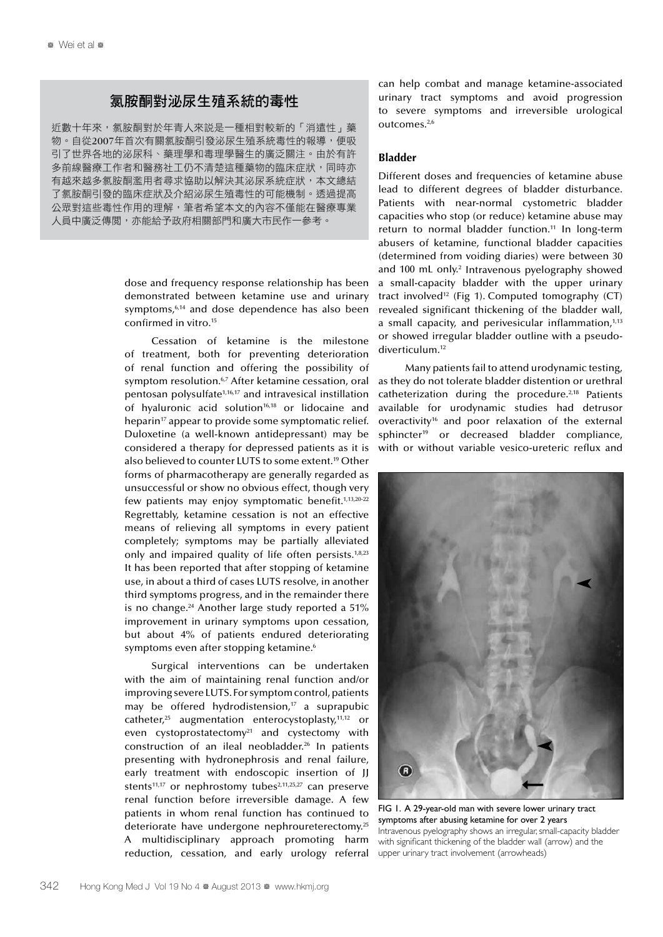# 氯胺酮對泌尿生殖系統的毒性

近數十年來,氯胺酮對於年青人來説是一種相對較新的「消遣性」藥 物。自從2007年首次有關氯胺酮引發泌尿生殖系統毒性的報導,便吸 引了世界各地的泌尿科、藥理學和毒理學醫生的廣泛關注。由於有許 多前線醫療工作者和醫務社工仍不清楚這種藥物的臨床症狀,同時亦 有越來越多氯胺酮濫用者尋求協助以解決其泌尿系統症狀,本文總結 了氯胺酮引發的臨床症狀及介紹泌尿生殖毒性的可能機制。透過提高 公眾對這些毒性作用的理解,筆者希望本文的內容不僅能在醫療專業 人員中廣泛傳閱,亦能給予政府相關部門和廣大市民作一參考。

> dose and frequency response relationship has been demonstrated between ketamine use and urinary symptoms,<sup>6,14</sup> and dose dependence has also been confirmed in vitro.15

> Cessation of ketamine is the milestone of treatment, both for preventing deterioration of renal function and offering the possibility of symptom resolution.<sup>6,7</sup> After ketamine cessation, oral pentosan polysulfate<sup>1,16,17</sup> and intravesical instillation of hyaluronic acid solution<sup>16,18</sup> or lidocaine and heparin<sup>17</sup> appear to provide some symptomatic relief. Duloxetine (a well-known antidepressant) may be considered a therapy for depressed patients as it is also believed to counter LUTS to some extent.19 Other forms of pharmacotherapy are generally regarded as unsuccessful or show no obvious effect, though very few patients may enjoy symptomatic benefit.<sup>1,13,20-22</sup> Regrettably, ketamine cessation is not an effective means of relieving all symptoms in every patient completely; symptoms may be partially alleviated only and impaired quality of life often persists.<sup>1,8,23</sup> It has been reported that after stopping of ketamine use, in about a third of cases LUTS resolve, in another third symptoms progress, and in the remainder there is no change. $24$  Another large study reported a 51% improvement in urinary symptoms upon cessation, but about 4% of patients endured deteriorating symptoms even after stopping ketamine.<sup>6</sup>

> Surgical interventions can be undertaken with the aim of maintaining renal function and/or improving severe LUTS. For symptom control, patients may be offered hydrodistension,<sup>17</sup> a suprapubic catheter,<sup>25</sup> augmentation enterocystoplasty, $11,12$  or even cystoprostatectomy<sup>21</sup> and cystectomy with construction of an ileal neobladder.<sup>26</sup> In patients presenting with hydronephrosis and renal failure, early treatment with endoscopic insertion of JJ stents<sup>11,17</sup> or nephrostomy tubes<sup>2,11,25,27</sup> can preserve renal function before irreversible damage. A few patients in whom renal function has continued to deteriorate have undergone nephroureterectomy.<sup>25</sup> A multidisciplinary approach promoting harm reduction, cessation, and early urology referral

can help combat and manage ketamine-associated urinary tract symptoms and avoid progression to severe symptoms and irreversible urological outcomes.2,6

## **Bladder**

Different doses and frequencies of ketamine abuse lead to different degrees of bladder disturbance. Patients with near-normal cystometric bladder capacities who stop (or reduce) ketamine abuse may return to normal bladder function.<sup>11</sup> In long-term abusers of ketamine, functional bladder capacities (determined from voiding diaries) were between 30 and 100 mL only.<sup>2</sup> Intravenous pyelography showed a small-capacity bladder with the upper urinary tract involved<sup>12</sup> (Fig 1). Computed tomography (CT) revealed significant thickening of the bladder wall, a small capacity, and perivesicular inflammation, $1,13$ or showed irregular bladder outline with a pseudodiverticulum.12

Many patients fail to attend urodynamic testing, as they do not tolerate bladder distention or urethral catheterization during the procedure.<sup>2,18</sup> Patients available for urodynamic studies had detrusor overactivity<sup>16</sup> and poor relaxation of the external sphincter<sup>19</sup> or decreased bladder compliance. with or without variable vesico-ureteric reflux and



FIG 1. A 29-year-old man with severe lower urinary tract symptoms after abusing ketamine for over 2 years Intravenous pyelography shows an irregular, small-capacity bladder with significant thickening of the bladder wall (arrow) and the upper urinary tract involvement (arrowheads)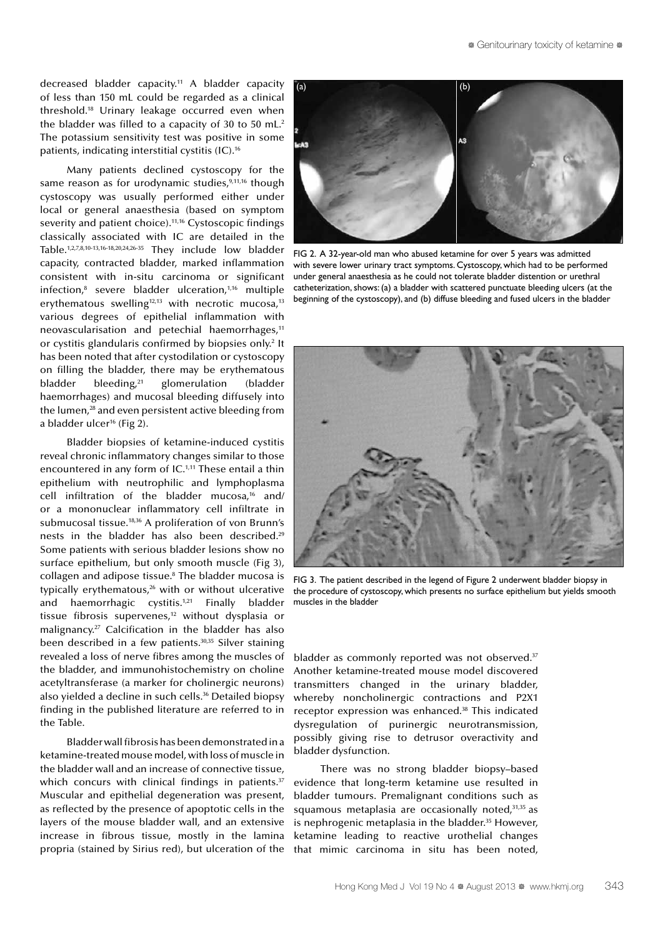decreased bladder capacity.<sup>11</sup> A bladder capacity of less than 150 mL could be regarded as a clinical threshold.18 Urinary leakage occurred even when the bladder was filled to a capacity of 30 to 50 mL.<sup>2</sup> The potassium sensitivity test was positive in some patients, indicating interstitial cystitis (IC).16

Many patients declined cystoscopy for the same reason as for urodynamic studies, $9,11,16$  though cystoscopy was usually performed either under local or general anaesthesia (based on symptom severity and patient choice).<sup>11,16</sup> Cystoscopic findings classically associated with IC are detailed in the Table.1,2,7,8,10-13,16-18,20,24,26-35 They include low bladder capacity, contracted bladder, marked inflammation consistent with in-situ carcinoma or significant infection,8 severe bladder ulceration,1,16 multiple erythematous swelling<sup>12,13</sup> with necrotic mucosa,<sup>13</sup> various degrees of epithelial inflammation with neovascularisation and petechial haemorrhages,<sup>11</sup> or cystitis glandularis confirmed by biopsies only.<sup>2</sup> It has been noted that after cystodilation or cystoscopy on filling the bladder, there may be erythematous bladder bleeding,<sup>21</sup> glomerulation (bladder haemorrhages) and mucosal bleeding diffusely into the lumen,<sup>28</sup> and even persistent active bleeding from a bladder ulcer<sup>16</sup> (Fig 2).

Bladder biopsies of ketamine-induced cystitis reveal chronic inflammatory changes similar to those encountered in any form of IC.<sup>1,11</sup> These entail a thin epithelium with neutrophilic and lymphoplasma cell infiltration of the bladder mucosa,<sup>16</sup> and/ or a mononuclear inflammatory cell infiltrate in submucosal tissue.18,36 A proliferation of von Brunn's nests in the bladder has also been described.29 Some patients with serious bladder lesions show no surface epithelium, but only smooth muscle (Fig 3), collagen and adipose tissue.<sup>8</sup> The bladder mucosa is typically erythematous,<sup>26</sup> with or without ulcerative and haemorrhagic cystitis.<sup>1,21</sup> Finally bladder tissue fibrosis supervenes, $12$  without dysplasia or malignancy.27 Calcification in the bladder has also been described in a few patients.<sup>30,35</sup> Silver staining revealed a loss of nerve fibres among the muscles of the bladder, and immunohistochemistry on choline acetyltransferase (a marker for cholinergic neurons) also yielded a decline in such cells.<sup>36</sup> Detailed biopsy finding in the published literature are referred to in the Table.

Bladder wall fibrosis has been demonstrated in a ketamine-treated mouse model, with loss of muscle in the bladder wall and an increase of connective tissue, which concurs with clinical findings in patients.<sup>37</sup> Muscular and epithelial degeneration was present, as reflected by the presence of apoptotic cells in the layers of the mouse bladder wall, and an extensive increase in fibrous tissue, mostly in the lamina propria (stained by Sirius red), but ulceration of the



FIG 2. A 32-year-old man who abused ketamine for over 5 years was admitted with severe lower urinary tract symptoms. Cystoscopy, which had to be performed under general anaesthesia as he could not tolerate bladder distention or urethral catheterization, shows: (a) a bladder with scattered punctuate bleeding ulcers (at the beginning of the cystoscopy), and (b) diffuse bleeding and fused ulcers in the bladder



FIG 3. The patient described in the legend of Figure 2 underwent bladder biopsy in the procedure of cystoscopy, which presents no surface epithelium but yields smooth muscles in the bladder

bladder as commonly reported was not observed.<sup>37</sup> Another ketamine-treated mouse model discovered transmitters changed in the urinary bladder, whereby noncholinergic contractions and P2X1 receptor expression was enhanced.38 This indicated dysregulation of purinergic neurotransmission, possibly giving rise to detrusor overactivity and bladder dysfunction.

There was no strong bladder biopsy–based evidence that long-term ketamine use resulted in bladder tumours. Premalignant conditions such as squamous metaplasia are occasionally noted, $31,35$  as is nephrogenic metaplasia in the bladder.<sup>35</sup> However, ketamine leading to reactive urothelial changes that mimic carcinoma in situ has been noted,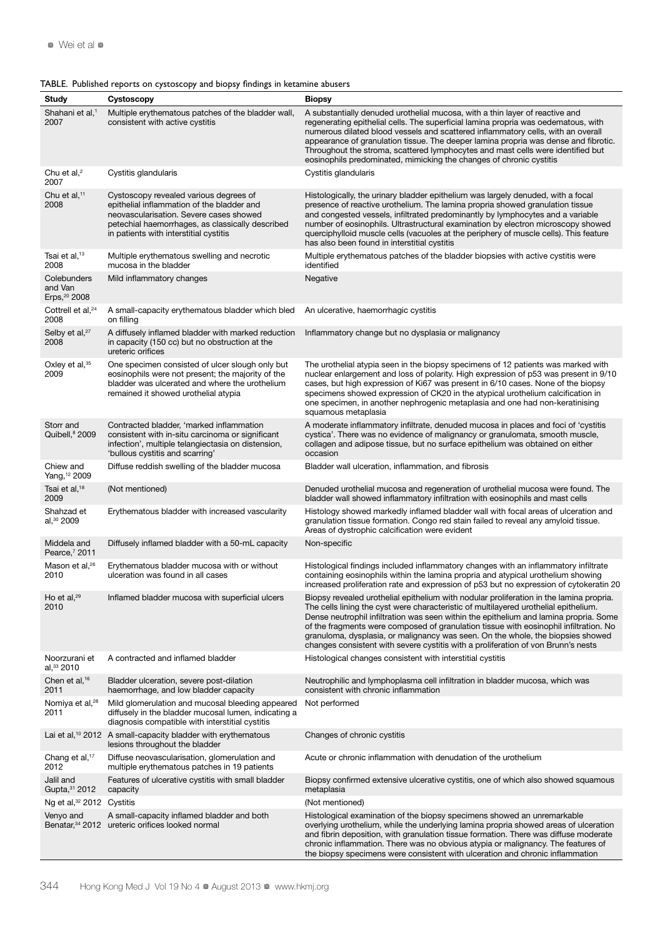|  |  |  |  | TABLE. Published reports on cystoscopy and biopsy findings in ketamine abusers |  |
|--|--|--|--|--------------------------------------------------------------------------------|--|
|  |  |  |  |                                                                                |  |

| Study                                    | Cystoscopy                                                                                                                                                                                                                    | <b>Biopsy</b>                                                                                                                                                                                                                                                                                                                                                                                                                                                                                                                             |  |  |  |  |  |
|------------------------------------------|-------------------------------------------------------------------------------------------------------------------------------------------------------------------------------------------------------------------------------|-------------------------------------------------------------------------------------------------------------------------------------------------------------------------------------------------------------------------------------------------------------------------------------------------------------------------------------------------------------------------------------------------------------------------------------------------------------------------------------------------------------------------------------------|--|--|--|--|--|
| Shahani et al, <sup>1</sup><br>2007      | Multiple erythematous patches of the bladder wall,<br>consistent with active cystitis                                                                                                                                         | A substantially denuded urothelial mucosa, with a thin layer of reactive and<br>regenerating epithelial cells. The superficial lamina propria was oedematous, with<br>numerous dilated blood vessels and scattered inflammatory cells, with an overall<br>appearance of granulation tissue. The deeper lamina propria was dense and fibrotic.<br>Throughout the stroma, scattered lymphocytes and mast cells were identified but<br>eosinophils predominated, mimicking the changes of chronic cystitis                                   |  |  |  |  |  |
| Chu et al, $2$<br>2007                   | Cystitis glandularis                                                                                                                                                                                                          | Cystitis glandularis                                                                                                                                                                                                                                                                                                                                                                                                                                                                                                                      |  |  |  |  |  |
| Chu et al, $11$<br>2008                  | Cystoscopy revealed various degrees of<br>epithelial inflammation of the bladder and<br>neovascularisation. Severe cases showed<br>petechial haemorrhages, as classically described<br>in patients with interstitial cystitis | Histologically, the urinary bladder epithelium was largely denuded, with a focal<br>presence of reactive urothelium. The lamina propria showed granulation tissue<br>and congested vessels, infiltrated predominantly by lymphocytes and a variable<br>number of eosinophils. Ultrastructural examination by electron microscopy showed<br>querciphylloid muscle cells (vacuoles at the periphery of muscle cells). This feature<br>has also been found in interstitial cystitis                                                          |  |  |  |  |  |
| Tsai et al, <sup>13</sup><br>2008        | Multiple erythematous swelling and necrotic<br>mucosa in the bladder                                                                                                                                                          | Multiple erythematous patches of the bladder biopsies with active cystitis were<br>identified                                                                                                                                                                                                                                                                                                                                                                                                                                             |  |  |  |  |  |
| Colebunders<br>and Van<br>Erps, 2008     | Mild inflammatory changes                                                                                                                                                                                                     | Negative                                                                                                                                                                                                                                                                                                                                                                                                                                                                                                                                  |  |  |  |  |  |
| Cottrell et al, <sup>24</sup><br>2008    | A small-capacity erythematous bladder which bled<br>on filling                                                                                                                                                                | An ulcerative, haemorrhagic cystitis                                                                                                                                                                                                                                                                                                                                                                                                                                                                                                      |  |  |  |  |  |
| Selby et al, <sup>27</sup><br>2008       | A diffusely inflamed bladder with marked reduction<br>in capacity (150 cc) but no obstruction at the<br>ureteric orifices                                                                                                     | Inflammatory change but no dysplasia or malignancy                                                                                                                                                                                                                                                                                                                                                                                                                                                                                        |  |  |  |  |  |
| Oxley et al, 35<br>2009                  | One specimen consisted of ulcer slough only but<br>eosinophils were not present; the majority of the<br>bladder was ulcerated and where the urothelium<br>remained it showed urothelial atypia                                | The urothelial atypia seen in the biopsy specimens of 12 patients was marked with<br>nuclear enlargement and loss of polarity. High expression of p53 was present in 9/10<br>cases, but high expression of Ki67 was present in 6/10 cases. None of the biopsy<br>specimens showed expression of CK20 in the atypical urothelium calcification in<br>one specimen, in another nephrogenic metaplasia and one had non-keratinising<br>squamous metaplasia                                                                                   |  |  |  |  |  |
| Storr and<br>Quibell, <sup>8</sup> 2009  | Contracted bladder, 'marked inflammation<br>consistent with in-situ carcinoma or significant<br>infection', multiple telangiectasia on distension,<br>'bullous cystitis and scarring'                                         | A moderate inflammatory infiltrate, denuded mucosa in places and foci of 'cystitis<br>cystica'. There was no evidence of malignancy or granulomata, smooth muscle,<br>collagen and adipose tissue, but no surface epithelium was obtained on either<br>occasion                                                                                                                                                                                                                                                                           |  |  |  |  |  |
| Chiew and<br>Yang, <sup>12</sup> 2009    | Diffuse reddish swelling of the bladder mucosa                                                                                                                                                                                | Bladder wall ulceration, inflammation, and fibrosis                                                                                                                                                                                                                                                                                                                                                                                                                                                                                       |  |  |  |  |  |
| Tsai et al, <sup>18</sup><br>2009        | (Not mentioned)                                                                                                                                                                                                               | Denuded urothelial mucosa and regeneration of urothelial mucosa were found. The<br>bladder wall showed inflammatory infiltration with eosinophils and mast cells                                                                                                                                                                                                                                                                                                                                                                          |  |  |  |  |  |
| Shahzad et<br>al, 30 2009                | Erythematous bladder with increased vascularity                                                                                                                                                                               | Histology showed markedly inflamed bladder wall with focal areas of ulceration and<br>granulation tissue formation. Congo red stain failed to reveal any amyloid tissue.<br>Areas of dystrophic calcification were evident                                                                                                                                                                                                                                                                                                                |  |  |  |  |  |
| Middela and<br>Pearce, <sup>7</sup> 2011 | Diffusely inflamed bladder with a 50-mL capacity                                                                                                                                                                              | Non-specific                                                                                                                                                                                                                                                                                                                                                                                                                                                                                                                              |  |  |  |  |  |
| Mason et al. <sup>26</sup><br>2010       | Erythematous bladder mucosa with or without<br>ulceration was found in all cases                                                                                                                                              | Histological findings included inflammatory changes with an inflammatory infiltrate<br>containing eosinophils within the lamina propria and atypical urothelium showing<br>increased proliferation rate and expression of p53 but no expression of cytokeratin 20                                                                                                                                                                                                                                                                         |  |  |  |  |  |
| Ho et al, $29$<br>2010                   | Inflamed bladder mucosa with superficial ulcers                                                                                                                                                                               | Biopsy revealed urothelial epithelium with nodular proliferation in the lamina propria.<br>The cells lining the cyst were characteristic of multilayered urothelial epithelium.<br>Dense neutrophil infiltration was seen within the epithelium and lamina propria. Some<br>of the fragments were composed of granulation tissue with eosinophil infiltration. No<br>granuloma, dysplasia, or malignancy was seen. On the whole, the biopsies showed<br>changes consistent with severe cystitis with a proliferation of von Brunn's nests |  |  |  |  |  |
| Noorzurani et<br>al, <sup>33</sup> 2010  | A contracted and inflamed bladder                                                                                                                                                                                             | Histological changes consistent with interstitial cystitis                                                                                                                                                                                                                                                                                                                                                                                                                                                                                |  |  |  |  |  |
| Chen et al, $16$<br>2011                 | Bladder ulceration, severe post-dilation<br>haemorrhage, and low bladder capacity                                                                                                                                             | Neutrophilic and lymphoplasma cell infiltration in bladder mucosa, which was<br>consistent with chronic inflammation                                                                                                                                                                                                                                                                                                                                                                                                                      |  |  |  |  |  |
| Nomiya et al, <sup>28</sup><br>2011      | Mild glomerulation and mucosal bleeding appeared<br>diffusely in the bladder mucosal lumen, indicating a<br>diagnosis compatible with interstitial cystitis                                                                   | Not performed                                                                                                                                                                                                                                                                                                                                                                                                                                                                                                                             |  |  |  |  |  |
|                                          | Lai et al, <sup>10</sup> 2012 A small-capacity bladder with erythematous<br>lesions throughout the bladder                                                                                                                    | Changes of chronic cystitis                                                                                                                                                                                                                                                                                                                                                                                                                                                                                                               |  |  |  |  |  |
| Chang et al, <sup>17</sup><br>2012       | Diffuse neovascularisation, glomerulation and<br>multiple erythematous patches in 19 patients                                                                                                                                 | Acute or chronic inflammation with denudation of the urothelium                                                                                                                                                                                                                                                                                                                                                                                                                                                                           |  |  |  |  |  |
| Jalil and<br>Gupta, 31 2012              | Features of ulcerative cystitis with small bladder<br>capacity                                                                                                                                                                | Biopsy confirmed extensive ulcerative cystitis, one of which also showed squamous<br>metaplasia                                                                                                                                                                                                                                                                                                                                                                                                                                           |  |  |  |  |  |
| Ng et al, <sup>32</sup> 2012 Cystitis    |                                                                                                                                                                                                                               | (Not mentioned)                                                                                                                                                                                                                                                                                                                                                                                                                                                                                                                           |  |  |  |  |  |
| Venyo and                                | A small-capacity inflamed bladder and both<br>Benatar, 34 2012 ureteric orifices looked normal                                                                                                                                | Histological examination of the biopsy specimens showed an unremarkable<br>overlying urothelium, while the underlying lamina propria showed areas of ulceration<br>and fibrin deposition, with granulation tissue formation. There was diffuse moderate<br>chronic inflammation. There was no obvious atypia or malignancy. The features of<br>the biopsy specimens were consistent with ulceration and chronic inflammation                                                                                                              |  |  |  |  |  |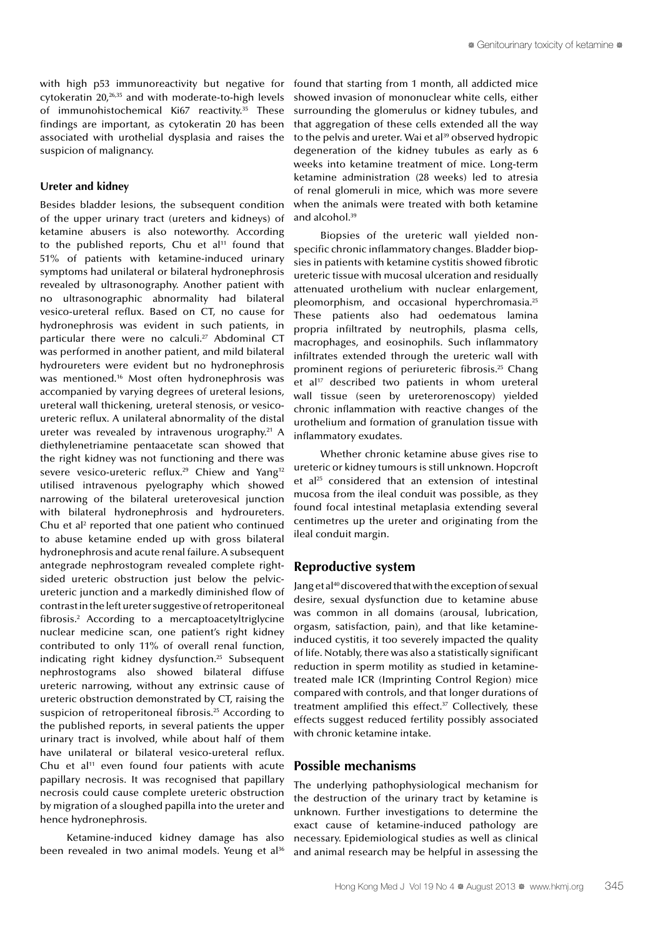with high p53 immunoreactivity but negative for cytokeratin 20,26,35 and with moderate-to-high levels of immunohistochemical Ki67 reactivity.<sup>35</sup> These findings are important, as cytokeratin 20 has been associated with urothelial dysplasia and raises the suspicion of malignancy.

#### **Ureter and kidney**

Besides bladder lesions, the subsequent condition of the upper urinary tract (ureters and kidneys) of ketamine abusers is also noteworthy. According to the published reports, Chu et  $al<sup>11</sup>$  found that 51% of patients with ketamine-induced urinary symptoms had unilateral or bilateral hydronephrosis revealed by ultrasonography. Another patient with no ultrasonographic abnormality had bilateral vesico-ureteral reflux. Based on CT, no cause for hydronephrosis was evident in such patients, in particular there were no calculi.<sup>27</sup> Abdominal CT was performed in another patient, and mild bilateral hydroureters were evident but no hydronephrosis was mentioned.<sup>16</sup> Most often hydronephrosis was accompanied by varying degrees of ureteral lesions, ureteral wall thickening, ureteral stenosis, or vesicoureteric reflux. A unilateral abnormality of the distal ureter was revealed by intravenous urography.<sup>21</sup> A diethylenetriamine pentaacetate scan showed that the right kidney was not functioning and there was severe vesico-ureteric reflux.<sup>29</sup> Chiew and Yang<sup>12</sup> utilised intravenous pyelography which showed narrowing of the bilateral ureterovesical junction with bilateral hydronephrosis and hydroureters. Chu et al<sup>2</sup> reported that one patient who continued to abuse ketamine ended up with gross bilateral hydronephrosis and acute renal failure. A subsequent antegrade nephrostogram revealed complete rightsided ureteric obstruction just below the pelvicureteric junction and a markedly diminished flow of contrast in the left ureter suggestive of retroperitoneal fibrosis.2 According to a mercaptoacetyltriglycine nuclear medicine scan, one patient's right kidney contributed to only 11% of overall renal function, indicating right kidney dysfunction.<sup>25</sup> Subsequent nephrostograms also showed bilateral diffuse ureteric narrowing, without any extrinsic cause of ureteric obstruction demonstrated by CT, raising the suspicion of retroperitoneal fibrosis.<sup>25</sup> According to the published reports, in several patients the upper urinary tract is involved, while about half of them have unilateral or bilateral vesico-ureteral reflux. Chu et al $11$  even found four patients with acute papillary necrosis. It was recognised that papillary necrosis could cause complete ureteric obstruction by migration of a sloughed papilla into the ureter and hence hydronephrosis.

Ketamine-induced kidney damage has also been revealed in two animal models. Yeung et al<sup>36</sup>

found that starting from 1 month, all addicted mice showed invasion of mononuclear white cells, either surrounding the glomerulus or kidney tubules, and that aggregation of these cells extended all the way to the pelvis and ureter. Wai et al<sup>39</sup> observed hydropic degeneration of the kidney tubules as early as 6 weeks into ketamine treatment of mice. Long-term ketamine administration (28 weeks) led to atresia of renal glomeruli in mice, which was more severe when the animals were treated with both ketamine and alcohol.<sup>39</sup>

Biopsies of the ureteric wall yielded nonspecific chronic inflammatory changes. Bladder biopsies in patients with ketamine cystitis showed fibrotic ureteric tissue with mucosal ulceration and residually attenuated urothelium with nuclear enlargement, pleomorphism, and occasional hyperchromasia.25 These patients also had oedematous lamina propria infiltrated by neutrophils, plasma cells, macrophages, and eosinophils. Such inflammatory infiltrates extended through the ureteric wall with prominent regions of periureteric fibrosis.<sup>25</sup> Chang et al<sup>17</sup> described two patients in whom ureteral wall tissue (seen by ureterorenoscopy) yielded chronic inflammation with reactive changes of the urothelium and formation of granulation tissue with inflammatory exudates.

Whether chronic ketamine abuse gives rise to ureteric or kidney tumours is still unknown. Hopcroft et al<sup>25</sup> considered that an extension of intestinal mucosa from the ileal conduit was possible, as they found focal intestinal metaplasia extending several centimetres up the ureter and originating from the ileal conduit margin.

## **Reproductive system**

Jang et al<sup>40</sup> discovered that with the exception of sexual desire, sexual dysfunction due to ketamine abuse was common in all domains (arousal, lubrication, orgasm, satisfaction, pain), and that like ketamineinduced cystitis, it too severely impacted the quality of life. Notably, there was also a statistically significant reduction in sperm motility as studied in ketaminetreated male ICR (Imprinting Control Region) mice compared with controls, and that longer durations of treatment amplified this effect.<sup>37</sup> Collectively, these effects suggest reduced fertility possibly associated with chronic ketamine intake.

## **Possible mechanisms**

The underlying pathophysiological mechanism for the destruction of the urinary tract by ketamine is unknown. Further investigations to determine the exact cause of ketamine-induced pathology are necessary. Epidemiological studies as well as clinical and animal research may be helpful in assessing the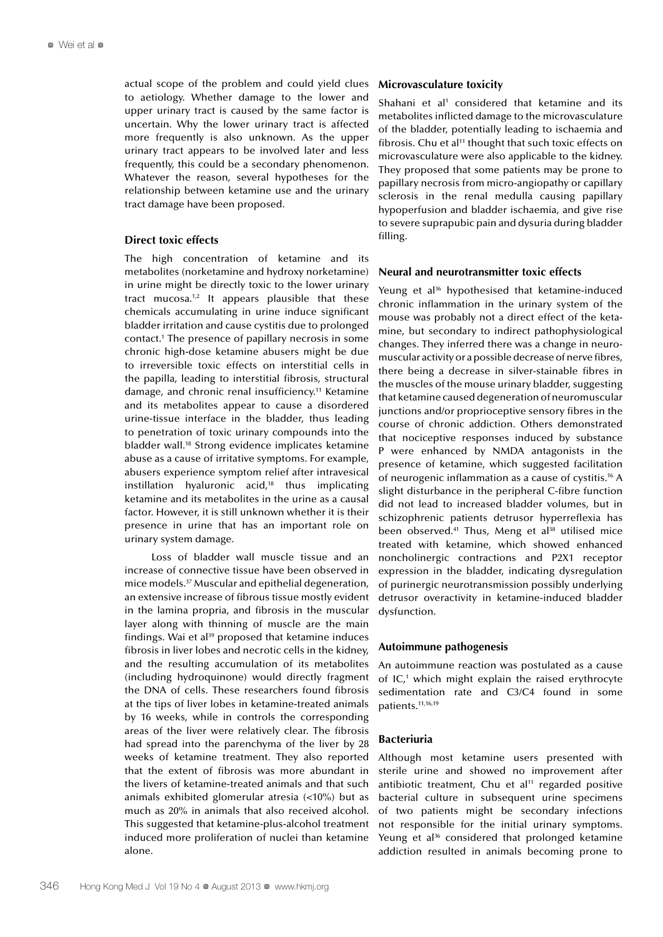actual scope of the problem and could yield clues to aetiology. Whether damage to the lower and upper urinary tract is caused by the same factor is uncertain. Why the lower urinary tract is affected more frequently is also unknown. As the upper urinary tract appears to be involved later and less frequently, this could be a secondary phenomenon. Whatever the reason, several hypotheses for the relationship between ketamine use and the urinary tract damage have been proposed.

## **Direct toxic effects**

The high concentration of ketamine and its metabolites (norketamine and hydroxy norketamine) in urine might be directly toxic to the lower urinary tract mucosa. $1/2$  It appears plausible that these chemicals accumulating in urine induce significant bladder irritation and cause cystitis due to prolonged contact.1 The presence of papillary necrosis in some chronic high-dose ketamine abusers might be due to irreversible toxic effects on interstitial cells in the papilla, leading to interstitial fibrosis, structural damage, and chronic renal insufficiency.<sup>11</sup> Ketamine and its metabolites appear to cause a disordered urine-tissue interface in the bladder, thus leading to penetration of toxic urinary compounds into the bladder wall.18 Strong evidence implicates ketamine abuse as a cause of irritative symptoms. For example, abusers experience symptom relief after intravesical instillation hyaluronic acid, $18$  thus implicating ketamine and its metabolites in the urine as a causal factor. However, it is still unknown whether it is their presence in urine that has an important role on urinary system damage.

Loss of bladder wall muscle tissue and an increase of connective tissue have been observed in mice models.37 Muscular and epithelial degeneration, an extensive increase of fibrous tissue mostly evident in the lamina propria, and fibrosis in the muscular layer along with thinning of muscle are the main findings. Wai et al $39$  proposed that ketamine induces fibrosis in liver lobes and necrotic cells in the kidney, and the resulting accumulation of its metabolites (including hydroquinone) would directly fragment the DNA of cells. These researchers found fibrosis at the tips of liver lobes in ketamine-treated animals by 16 weeks, while in controls the corresponding areas of the liver were relatively clear. The fibrosis had spread into the parenchyma of the liver by 28 weeks of ketamine treatment. They also reported that the extent of fibrosis was more abundant in the livers of ketamine-treated animals and that such animals exhibited glomerular atresia (<10%) but as much as 20% in animals that also received alcohol. This suggested that ketamine-plus-alcohol treatment induced more proliferation of nuclei than ketamine alone.

#### **Microvasculature toxicity**

Shahani et al<sup>1</sup> considered that ketamine and its metabolites inflicted damage to the microvasculature of the bladder, potentially leading to ischaemia and fibrosis. Chu et al<sup>11</sup> thought that such toxic effects on microvasculature were also applicable to the kidney. They proposed that some patients may be prone to papillary necrosis from micro-angiopathy or capillary sclerosis in the renal medulla causing papillary hypoperfusion and bladder ischaemia, and give rise to severe suprapubic pain and dysuria during bladder filling.

#### **Neural and neurotransmitter toxic effects**

Yeung et al<sup>36</sup> hypothesised that ketamine-induced chronic inflammation in the urinary system of the mouse was probably not a direct effect of the ketamine, but secondary to indirect pathophysiological changes. They inferred there was a change in neuromuscular activity or a possible decrease of nerve fibres, there being a decrease in silver-stainable fibres in the muscles of the mouse urinary bladder, suggesting that ketamine caused degeneration of neuromuscular junctions and/or proprioceptive sensory fibres in the course of chronic addiction. Others demonstrated that nociceptive responses induced by substance P were enhanced by NMDA antagonists in the presence of ketamine, which suggested facilitation of neurogenic inflammation as a cause of cystitis.16 A slight disturbance in the peripheral C-fibre function did not lead to increased bladder volumes, but in schizophrenic patients detrusor hyperreflexia has been observed.<sup>41</sup> Thus, Meng et al<sup>38</sup> utilised mice treated with ketamine, which showed enhanced noncholinergic contractions and P2X1 receptor expression in the bladder, indicating dysregulation of purinergic neurotransmission possibly underlying detrusor overactivity in ketamine-induced bladder dysfunction.

### **Autoimmune pathogenesis**

An autoimmune reaction was postulated as a cause of IC,<sup>1</sup> which might explain the raised erythrocyte sedimentation rate and C3/C4 found in some patients.11,16,19

#### **Bacteriuria**

Although most ketamine users presented with sterile urine and showed no improvement after antibiotic treatment, Chu et  $al<sup>11</sup>$  regarded positive bacterial culture in subsequent urine specimens of two patients might be secondary infections not responsible for the initial urinary symptoms. Yeung et al<sup>36</sup> considered that prolonged ketamine addiction resulted in animals becoming prone to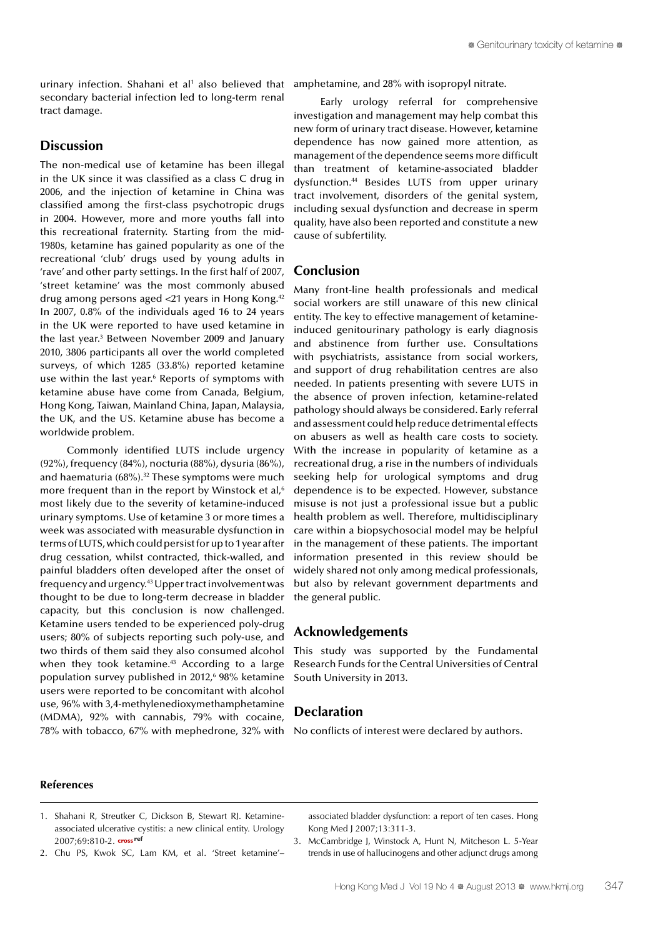urinary infection. Shahani et al<sup>1</sup> also believed that secondary bacterial infection led to long-term renal tract damage.

# **Discussion**

The non-medical use of ketamine has been illegal in the UK since it was classified as a class C drug in 2006, and the injection of ketamine in China was classified among the first-class psychotropic drugs in 2004. However, more and more youths fall into this recreational fraternity. Starting from the mid-1980s, ketamine has gained popularity as one of the recreational 'club' drugs used by young adults in 'rave' and other party settings. In the first half of 2007, 'street ketamine' was the most commonly abused drug among persons aged <21 years in Hong Kong.42 In 2007, 0.8% of the individuals aged 16 to 24 years in the UK were reported to have used ketamine in the last year.<sup>3</sup> Between November 2009 and January 2010, 3806 participants all over the world completed surveys, of which 1285 (33.8%) reported ketamine use within the last year.<sup>6</sup> Reports of symptoms with ketamine abuse have come from Canada, Belgium, Hong Kong, Taiwan, Mainland China, Japan, Malaysia, the UK, and the US. Ketamine abuse has become a worldwide problem.

Commonly identified LUTS include urgency (92%), frequency (84%), nocturia (88%), dysuria (86%), and haematuria (68%).<sup>32</sup> These symptoms were much more frequent than in the report by Winstock et al,<sup>6</sup> most likely due to the severity of ketamine-induced urinary symptoms. Use of ketamine 3 or more times a week was associated with measurable dysfunction in terms of LUTS, which could persist for up to 1 year after drug cessation, whilst contracted, thick-walled, and painful bladders often developed after the onset of frequency and urgency.43 Upper tract involvement was thought to be due to long-term decrease in bladder capacity, but this conclusion is now challenged. Ketamine users tended to be experienced poly-drug users; 80% of subjects reporting such poly-use, and two thirds of them said they also consumed alcohol when they took ketamine.<sup>43</sup> According to a large population survey published in 2012,<sup>6</sup> 98% ketamine users were reported to be concomitant with alcohol use, 96% with 3,4-methylenedioxymethamphetamine (MDMA), 92% with cannabis, 79% with cocaine, 78% with tobacco, 67% with mephedrone, 32% with

amphetamine, and 28% with isopropyl nitrate.

Early urology referral for comprehensive investigation and management may help combat this new form of urinary tract disease. However, ketamine dependence has now gained more attention, as management of the dependence seems more difficult than treatment of ketamine-associated bladder dysfunction.44 Besides LUTS from upper urinary tract involvement, disorders of the genital system, including sexual dysfunction and decrease in sperm quality, have also been reported and constitute a new cause of subfertility.

# **Conclusion**

Many front-line health professionals and medical social workers are still unaware of this new clinical entity. The key to effective management of ketamineinduced genitourinary pathology is early diagnosis and abstinence from further use. Consultations with psychiatrists, assistance from social workers, and support of drug rehabilitation centres are also needed. In patients presenting with severe LUTS in the absence of proven infection, ketamine-related pathology should always be considered. Early referral and assessment could help reduce detrimental effects on abusers as well as health care costs to society. With the increase in popularity of ketamine as a recreational drug, a rise in the numbers of individuals seeking help for urological symptoms and drug dependence is to be expected. However, substance misuse is not just a professional issue but a public health problem as well. Therefore, multidisciplinary care within a biopsychosocial model may be helpful in the management of these patients. The important information presented in this review should be widely shared not only among medical professionals, but also by relevant government departments and the general public.

## **Acknowledgements**

This study was supported by the Fundamental Research Funds for the Central Universities of Central South University in 2013.

## **Declaration**

No conflicts of interest were declared by authors.

#### **References**

- 1. Shahani R, Streutker C, Dickson B, Stewart RJ. Ketamineassociated ulcerative cystitis: a new clinical entity. Urology 2007;69:810-2. **[cross](http://dx.doi.org/10.1016/j.urology.2007.01.038) ref**
- 2. Chu PS, Kwok SC, Lam KM, et al. 'Street ketamine'–

associated bladder dysfunction: a report of ten cases. Hong Kong Med J 2007;13:311-3.

<sup>3.</sup> McCambridge J, Winstock A, Hunt N, Mitcheson L. 5-Year trends in use of hallucinogens and other adjunct drugs among